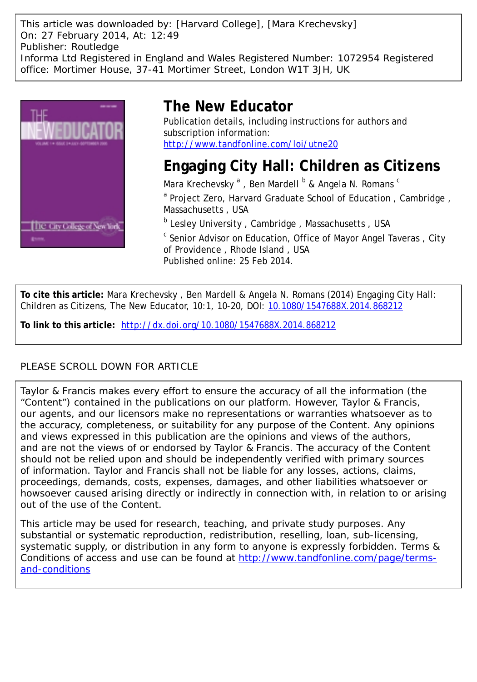This article was downloaded by: [Harvard College], [Mara Krechevsky] On: 27 February 2014, At: 12:49 Publisher: Routledge Informa Ltd Registered in England and Wales Registered Number: 1072954 Registered office: Mortimer House, 37-41 Mortimer Street, London W1T 3JH, UK



# **The New Educator**

Publication details, including instructions for authors and subscription information: <http://www.tandfonline.com/loi/utne20>

# **Engaging City Hall: Children as Citizens**

Mara Krechevsky <sup>a</sup> , Ben Mardell <sup>b</sup> & Angela N. Romans <sup>c</sup> <sup>a</sup> Project Zero, Harvard Graduate School of Education, Cambridge, Massachusetts , USA

**b** Lesley University, Cambridge, Massachusetts, USA

<sup>c</sup> Senior Advisor on Education, Office of Mayor Angel Taveras, City of Providence , Rhode Island , USA Published online: 25 Feb 2014.

**To cite this article:** Mara Krechevsky , Ben Mardell & Angela N. Romans (2014) Engaging City Hall: Children as Citizens, The New Educator, 10:1, 10-20, DOI: [10.1080/1547688X.2014.868212](http://www.tandfonline.com/action/showCitFormats?doi=10.1080/1547688X.2014.868212)

**To link to this article:** <http://dx.doi.org/10.1080/1547688X.2014.868212>

# PLEASE SCROLL DOWN FOR ARTICLE

Taylor & Francis makes every effort to ensure the accuracy of all the information (the "Content") contained in the publications on our platform. However, Taylor & Francis, our agents, and our licensors make no representations or warranties whatsoever as to the accuracy, completeness, or suitability for any purpose of the Content. Any opinions and views expressed in this publication are the opinions and views of the authors, and are not the views of or endorsed by Taylor & Francis. The accuracy of the Content should not be relied upon and should be independently verified with primary sources of information. Taylor and Francis shall not be liable for any losses, actions, claims, proceedings, demands, costs, expenses, damages, and other liabilities whatsoever or howsoever caused arising directly or indirectly in connection with, in relation to or arising out of the use of the Content.

This article may be used for research, teaching, and private study purposes. Any substantial or systematic reproduction, redistribution, reselling, loan, sub-licensing, systematic supply, or distribution in any form to anyone is expressly forbidden. Terms & Conditions of access and use can be found at [http://www.tandfonline.com/page/terms](http://www.tandfonline.com/page/terms-and-conditions)[and-conditions](http://www.tandfonline.com/page/terms-and-conditions)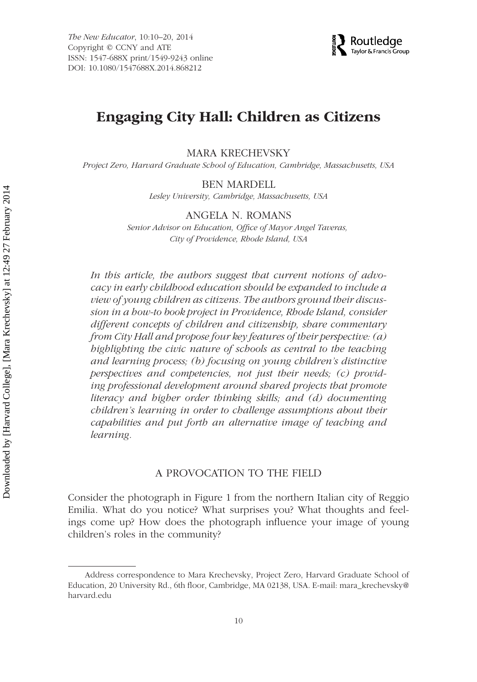

# **Engaging City Hall: Children as Citizens**

MARA KRECHEVSKY

*Project Zero, Harvard Graduate School of Education, Cambridge, Massachusetts, USA*

#### BEN MARDELL

*Lesley University, Cambridge, Massachusetts, USA*

#### ANGELA N. ROMANS

*Senior Advisor on Education, Office of Mayor Angel Taveras, City of Providence, Rhode Island, USA*

*In this article, the authors suggest that current notions of advocacy in early childhood education should be expanded to include a view of young children as citizens. The authors ground their discussion in a how-to book project in Providence, Rhode Island, consider different concepts of children and citizenship, share commentary from City Hall and propose four key features of their perspective: (a) highlighting the civic nature of schools as central to the teaching and learning process; (b) focusing on young children's distinctive perspectives and competencies, not just their needs; (c) providing professional development around shared projects that promote literacy and higher order thinking skills; and (d) documenting children's learning in order to challenge assumptions about their capabilities and put forth an alternative image of teaching and learning.*

### A PROVOCATION TO THE FIELD

Consider the photograph in Figure 1 from the northern Italian city of Reggio Emilia. What do you notice? What surprises you? What thoughts and feelings come up? How does the photograph influence your image of young children's roles in the community?

Address correspondence to Mara Krechevsky, Project Zero, Harvard Graduate School of Education, 20 University Rd., 6th floor, Cambridge, MA 02138, USA. E-mail: mara\_krechevsky@ harvard.edu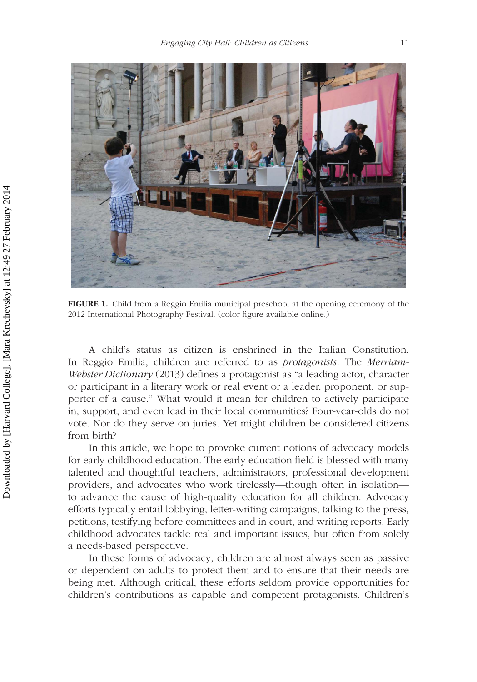

**FIGURE 1.** Child from a Reggio Emilia municipal preschool at the opening ceremony of the 2012 International Photography Festival. (color figure available online.)

A child's status as citizen is enshrined in the Italian Constitution. In Reggio Emilia, children are referred to as *protagonists.* The *Merriam-Webster Dictionary* (2013) defines a protagonist as "a leading actor, character or participant in a literary work or real event or a leader, proponent, or supporter of a cause." What would it mean for children to actively participate in, support, and even lead in their local communities? Four-year-olds do not vote. Nor do they serve on juries. Yet might children be considered citizens from birth?

In this article, we hope to provoke current notions of advocacy models for early childhood education. The early education field is blessed with many talented and thoughtful teachers, administrators, professional development providers, and advocates who work tirelessly—though often in isolation to advance the cause of high-quality education for all children. Advocacy efforts typically entail lobbying, letter-writing campaigns, talking to the press, petitions, testifying before committees and in court, and writing reports. Early childhood advocates tackle real and important issues, but often from solely a needs-based perspective.

In these forms of advocacy, children are almost always seen as passive or dependent on adults to protect them and to ensure that their needs are being met. Although critical, these efforts seldom provide opportunities for children's contributions as capable and competent protagonists. Children's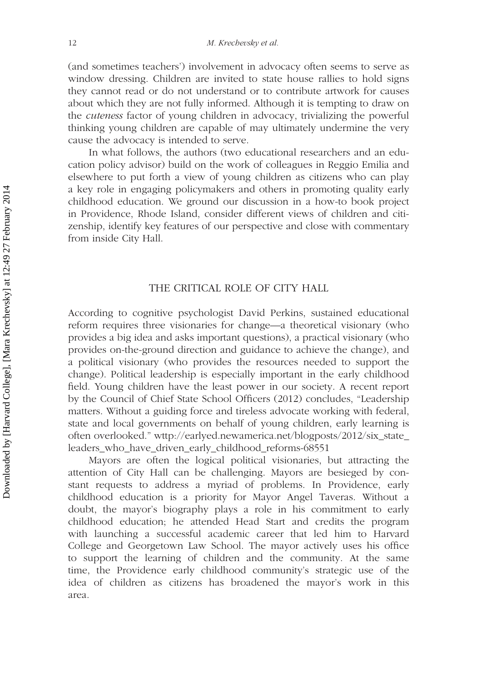(and sometimes teachers') involvement in advocacy often seems to serve as window dressing. Children are invited to state house rallies to hold signs they cannot read or do not understand or to contribute artwork for causes about which they are not fully informed. Although it is tempting to draw on the *cuteness* factor of young children in advocacy, trivializing the powerful thinking young children are capable of may ultimately undermine the very cause the advocacy is intended to serve.

In what follows, the authors (two educational researchers and an education policy advisor) build on the work of colleagues in Reggio Emilia and elsewhere to put forth a view of young children as citizens who can play a key role in engaging policymakers and others in promoting quality early childhood education. We ground our discussion in a how-to book project in Providence, Rhode Island, consider different views of children and citizenship, identify key features of our perspective and close with commentary from inside City Hall.

#### THE CRITICAL ROLE OF CITY HALL

According to cognitive psychologist David Perkins, sustained educational reform requires three visionaries for change—a theoretical visionary (who provides a big idea and asks important questions), a practical visionary (who provides on-the-ground direction and guidance to achieve the change), and a political visionary (who provides the resources needed to support the change). Political leadership is especially important in the early childhood field. Young children have the least power in our society. A recent report by the Council of Chief State School Officers (2012) concludes, "Leadership matters. Without a guiding force and tireless advocate working with federal, state and local governments on behalf of young children, early learning is often overlooked." wttp://earlyed.newamerica.net/blogposts/2012/six\_state\_ leaders\_who\_have\_driven\_early\_childhood\_reforms-68551

Mayors are often the logical political visionaries, but attracting the attention of City Hall can be challenging. Mayors are besieged by constant requests to address a myriad of problems. In Providence, early childhood education is a priority for Mayor Angel Taveras. Without a doubt, the mayor's biography plays a role in his commitment to early childhood education; he attended Head Start and credits the program with launching a successful academic career that led him to Harvard College and Georgetown Law School. The mayor actively uses his office to support the learning of children and the community. At the same time, the Providence early childhood community's strategic use of the idea of children as citizens has broadened the mayor's work in this area.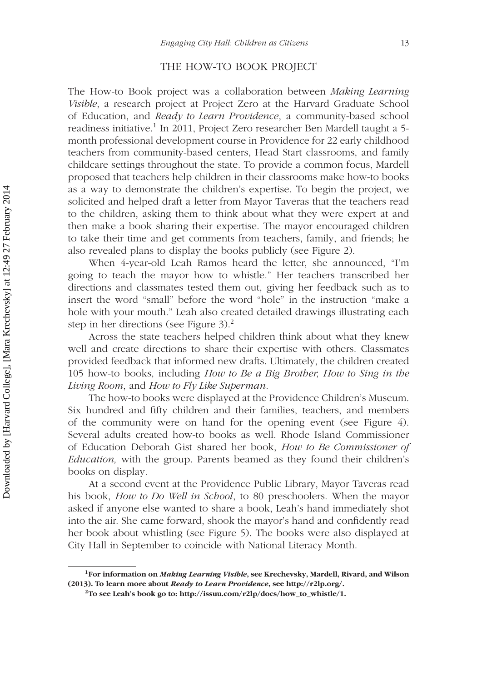#### THE HOW-TO BOOK PROJECT

The How-to Book project was a collaboration between *Making Learning Visible*, a research project at Project Zero at the Harvard Graduate School of Education, and *Ready to Learn Providence*, a community-based school readiness initiative.<sup>1</sup> In 2011, Project Zero researcher Ben Mardell taught a 5month professional development course in Providence for 22 early childhood teachers from community-based centers, Head Start classrooms, and family childcare settings throughout the state. To provide a common focus, Mardell proposed that teachers help children in their classrooms make how-to books as a way to demonstrate the children's expertise. To begin the project, we solicited and helped draft a letter from Mayor Taveras that the teachers read to the children, asking them to think about what they were expert at and then make a book sharing their expertise. The mayor encouraged children to take their time and get comments from teachers, family, and friends; he also revealed plans to display the books publicly (see Figure 2).

When 4-year-old Leah Ramos heard the letter, she announced, "I'm going to teach the mayor how to whistle." Her teachers transcribed her directions and classmates tested them out, giving her feedback such as to insert the word "small" before the word "hole" in the instruction "make a hole with your mouth." Leah also created detailed drawings illustrating each step in her directions (see Figure  $3$ ).<sup>2</sup>

Across the state teachers helped children think about what they knew well and create directions to share their expertise with others. Classmates provided feedback that informed new drafts. Ultimately, the children created 105 how-to books, including *How to Be a Big Brother, How to Sing in the Living Room*, and *How to Fly Like Superman*.

The how-to books were displayed at the Providence Children's Museum. Six hundred and fifty children and their families, teachers, and members of the community were on hand for the opening event (see Figure 4). Several adults created how-to books as well. Rhode Island Commissioner of Education Deborah Gist shared her book, *How to Be Commissioner of Education,* with the group. Parents beamed as they found their children's books on display.

At a second event at the Providence Public Library, Mayor Taveras read his book, *How to Do Well in School*, to 80 preschoolers. When the mayor asked if anyone else wanted to share a book, Leah's hand immediately shot into the air. She came forward, shook the mayor's hand and confidently read her book about whistling (see Figure 5). The books were also displayed at City Hall in September to coincide with National Literacy Month.

**<sup>1</sup>For information on** *Making Learning Visible***, see Krechevsky, Mardell, Rivard, and Wilson (2013). To learn more about** *Ready to Learn Providence***, see http://r2lp.org/.**

<sup>&</sup>lt;sup>2</sup>To see Leah's book go to: http://issuu.com/ $r2lp/docs/how$  to whistle/1.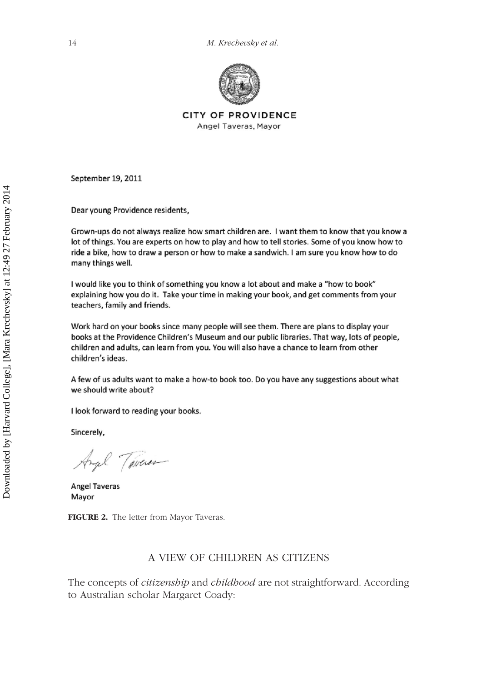

CITY OF PROVIDENCE Angel Taveras, Mayor

September 19, 2011

Dear young Providence residents,

Grown-ups do not always realize how smart children are. I want them to know that you know a lot of things. You are experts on how to play and how to tell stories. Some of you know how to ride a bike, how to draw a person or how to make a sandwich. I am sure you know how to do many things well.

I would like you to think of something you know a lot about and make a "how to book" explaining how you do it. Take your time in making your book, and get comments from your teachers, family and friends.

Work hard on your books since many people will see them. There are plans to display your books at the Providence Children's Museum and our public libraries. That way, lots of people, children and adults, can learn from you. You will also have a chance to learn from other children's ideas.

A few of us adults want to make a how-to book too. Do you have any suggestions about what we should write about?

I look forward to reading your books.

Sincerely,

Angel Tavers

Angel Taveras Mayor

**FIGURE 2.** The letter from Mayor Taveras.

### A VIEW OF CHILDREN AS CITIZENS

The concepts of *citizenship* and *childhood* are not straightforward. According to Australian scholar Margaret Coady: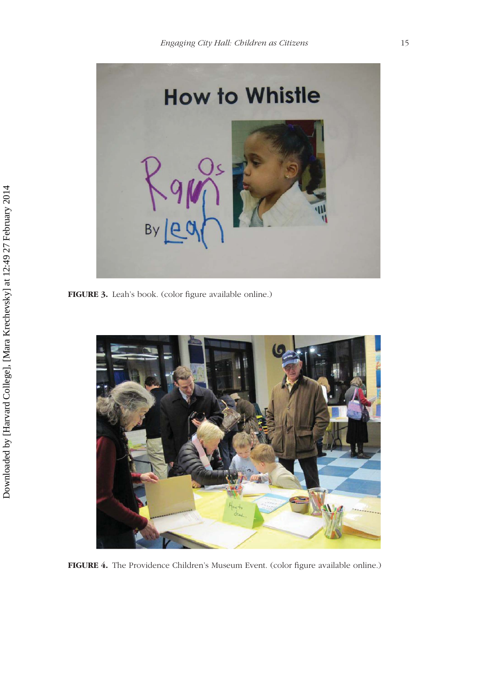

**FIGURE 3.** Leah's book. (color figure available online.)



**FIGURE 4.** The Providence Children's Museum Event. (color figure available online.)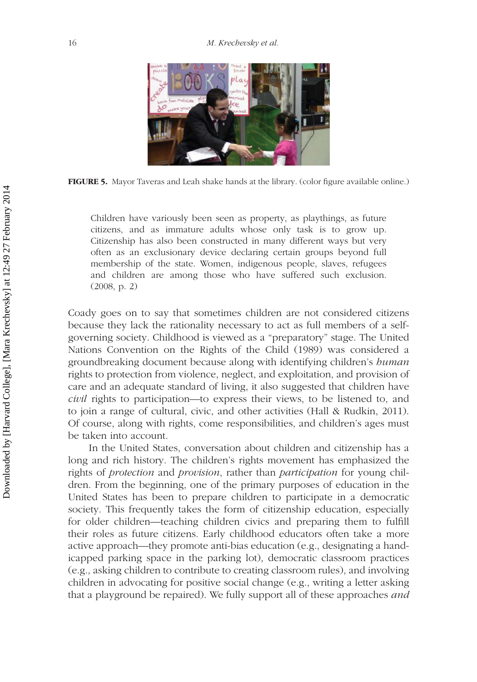

**FIGURE 5.** Mayor Taveras and Leah shake hands at the library. (color figure available online.)

Children have variously been seen as property, as playthings, as future citizens, and as immature adults whose only task is to grow up. Citizenship has also been constructed in many different ways but very often as an exclusionary device declaring certain groups beyond full membership of the state. Women, indigenous people, slaves, refugees and children are among those who have suffered such exclusion. (2008, p. 2)

Coady goes on to say that sometimes children are not considered citizens because they lack the rationality necessary to act as full members of a selfgoverning society. Childhood is viewed as a "preparatory" stage. The United Nations Convention on the Rights of the Child (1989) was considered a groundbreaking document because along with identifying children's *human* rights to protection from violence, neglect, and exploitation, and provision of care and an adequate standard of living, it also suggested that children have *civil* rights to participation—to express their views, to be listened to, and to join a range of cultural, civic, and other activities (Hall & Rudkin, 2011). Of course, along with rights, come responsibilities, and children's ages must be taken into account.

In the United States, conversation about children and citizenship has a long and rich history. The children's rights movement has emphasized the rights of *protection* and *provision*, rather than *participation* for young children. From the beginning, one of the primary purposes of education in the United States has been to prepare children to participate in a democratic society. This frequently takes the form of citizenship education, especially for older children—teaching children civics and preparing them to fulfill their roles as future citizens. Early childhood educators often take a more active approach—they promote anti-bias education (e.g., designating a handicapped parking space in the parking lot), democratic classroom practices (e.g., asking children to contribute to creating classroom rules), and involving children in advocating for positive social change (e.g., writing a letter asking that a playground be repaired). We fully support all of these approaches *and*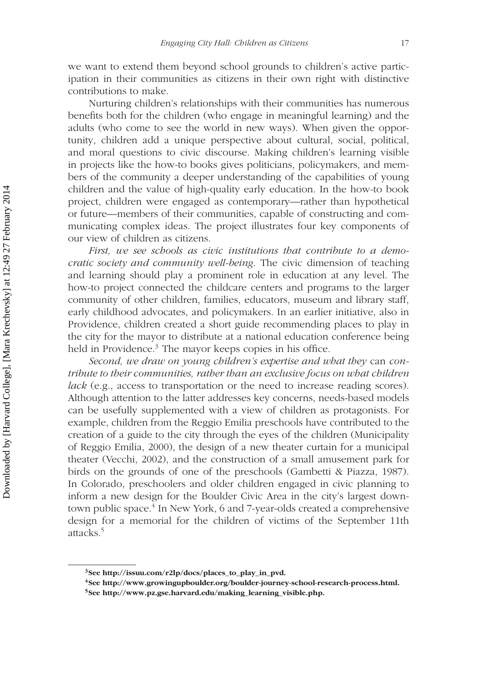we want to extend them beyond school grounds to children's active participation in their communities as citizens in their own right with distinctive contributions to make.

Nurturing children's relationships with their communities has numerous benefits both for the children (who engage in meaningful learning) and the adults (who come to see the world in new ways). When given the opportunity, children add a unique perspective about cultural, social, political, and moral questions to civic discourse. Making children's learning visible in projects like the how-to books gives politicians, policymakers, and members of the community a deeper understanding of the capabilities of young children and the value of high-quality early education. In the how-to book project, children were engaged as contemporary—rather than hypothetical or future—members of their communities, capable of constructing and communicating complex ideas. The project illustrates four key components of our view of children as citizens.

*First, we see schools as civic institutions that contribute to a democratic society and community well-being*. The civic dimension of teaching and learning should play a prominent role in education at any level. The how-to project connected the childcare centers and programs to the larger community of other children, families, educators, museum and library staff, early childhood advocates, and policymakers. In an earlier initiative, also in Providence, children created a short guide recommending places to play in the city for the mayor to distribute at a national education conference being held in Providence.<sup>3</sup> The mayor keeps copies in his office.

*Second, we draw on young children's expertise and what they* can *contribute to their communities, rather than an exclusive focus on what children lack* (e.g., access to transportation or the need to increase reading scores). Although attention to the latter addresses key concerns, needs-based models can be usefully supplemented with a view of children as protagonists. For example, children from the Reggio Emilia preschools have contributed to the creation of a guide to the city through the eyes of the children (Municipality of Reggio Emilia, 2000), the design of a new theater curtain for a municipal theater (Vecchi, 2002), and the construction of a small amusement park for birds on the grounds of one of the preschools (Gambetti & Piazza, 1987). In Colorado, preschoolers and older children engaged in civic planning to inform a new design for the Boulder Civic Area in the city's largest downtown public space.<sup>4</sup> In New York, 6 and 7-year-olds created a comprehensive design for a memorial for the children of victims of the September 11th attacks.5

**<sup>3</sup>See http://issuu.com/r2lp/docs/places\_to\_play\_in\_pvd.**

**<sup>4</sup>See http://www.growingupboulder.org/boulder-journey-school-research-process.html.**

**<sup>5</sup>See http://www.pz.gse.harvard.edu/making\_learning\_visible.php.**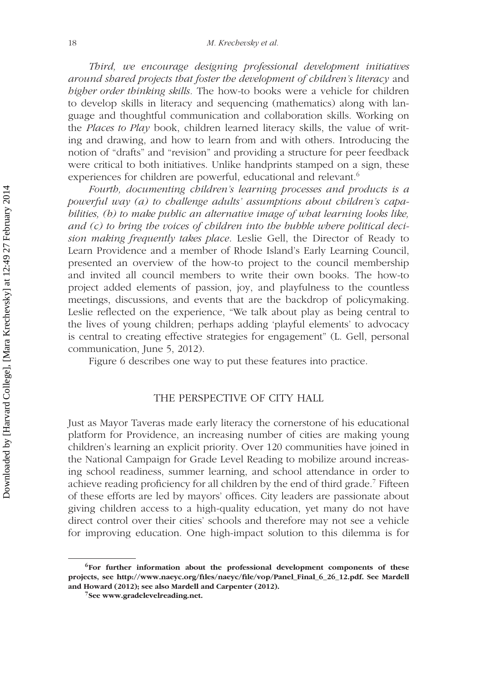*Third, we encourage designing professional development initiatives around shared projects that foster the development of children's literacy* and *higher order thinking skills.* The how-to books were a vehicle for children to develop skills in literacy and sequencing (mathematics) along with language and thoughtful communication and collaboration skills. Working on the *Places to Play* book, children learned literacy skills, the value of writing and drawing, and how to learn from and with others. Introducing the notion of "drafts" and "revision" and providing a structure for peer feedback were critical to both initiatives. Unlike handprints stamped on a sign, these experiences for children are powerful, educational and relevant.<sup>6</sup>

*Fourth, documenting children's learning processes and products is a powerful way (a) to challenge adults' assumptions about children's capabilities, (b) to make public an alternative image of what learning looks like, and (c) to bring the voices of children into the bubble where political decision making frequently takes place*. Leslie Gell, the Director of Ready to Learn Providence and a member of Rhode Island's Early Learning Council, presented an overview of the how-to project to the council membership and invited all council members to write their own books. The how-to project added elements of passion, joy, and playfulness to the countless meetings, discussions, and events that are the backdrop of policymaking. Leslie reflected on the experience, "We talk about play as being central to the lives of young children; perhaps adding 'playful elements' to advocacy is central to creating effective strategies for engagement" (L. Gell, personal communication, June 5, 2012).

Figure 6 describes one way to put these features into practice.

## THE PERSPECTIVE OF CITY HALL

Just as Mayor Taveras made early literacy the cornerstone of his educational platform for Providence, an increasing number of cities are making young children's learning an explicit priority. Over 120 communities have joined in the National Campaign for Grade Level Reading to mobilize around increasing school readiness, summer learning, and school attendance in order to achieve reading proficiency for all children by the end of third grade.<sup>7</sup> Fifteen of these efforts are led by mayors' offices. City leaders are passionate about giving children access to a high-quality education, yet many do not have direct control over their cities' schools and therefore may not see a vehicle for improving education. One high-impact solution to this dilemma is for

**<sup>6</sup>For further information about the professional development components of these projects, see http://www.naeyc.org/files/naeyc/file/vop/Panel\_Final\_6\_26\_12.pdf. See Mardell and Howard (2012); see also Mardell and Carpenter (2012).**

**<sup>7</sup>See www.gradelevelreading.net.**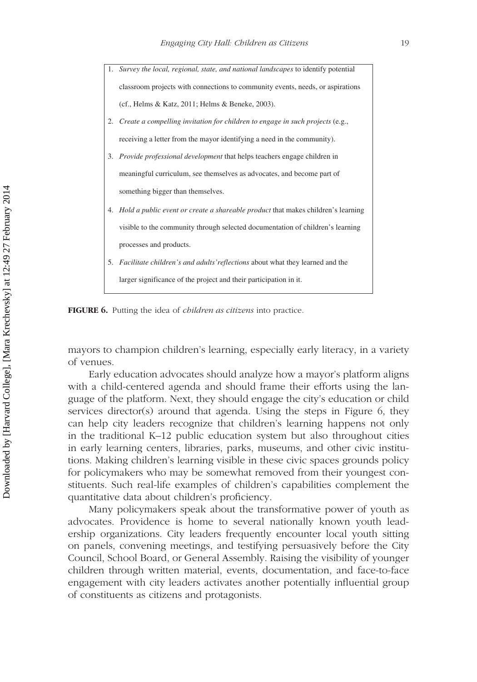1. *Survey the local, regional, state, and national landscapes* to identify potential classroom projects with connections to community events, needs, or aspirations (cf., Helms & Katz, 2011; Helms & Beneke, 2003). 2. *Create a compelling invitation for children to engage in such projects* (e.g., receiving a letter from the mayor identifying a need in the community). 3. *Provide professional development* that helps teachers engage children in meaningful curriculum, see themselves as advocates, and become part of something bigger than themselves. 4. *Hold a public event or create a shareable product* that makes children's learning visible to the community through selected documentation of children's learning processes and products. 5. *Facilitate children's and adults'reflections* about what they learned and the larger significance of the project and their participation in it.

**FIGURE 6.** Putting the idea of *children as citizens* into practice.

mayors to champion children's learning, especially early literacy, in a variety of venues.

Early education advocates should analyze how a mayor's platform aligns with a child-centered agenda and should frame their efforts using the language of the platform. Next, they should engage the city's education or child services director(s) around that agenda. Using the steps in Figure 6, they can help city leaders recognize that children's learning happens not only in the traditional K–12 public education system but also throughout cities in early learning centers, libraries, parks, museums, and other civic institutions. Making children's learning visible in these civic spaces grounds policy for policymakers who may be somewhat removed from their youngest constituents. Such real-life examples of children's capabilities complement the quantitative data about children's proficiency.

Many policymakers speak about the transformative power of youth as advocates. Providence is home to several nationally known youth leadership organizations. City leaders frequently encounter local youth sitting on panels, convening meetings, and testifying persuasively before the City Council, School Board, or General Assembly. Raising the visibility of younger children through written material, events, documentation, and face-to-face engagement with city leaders activates another potentially influential group of constituents as citizens and protagonists.